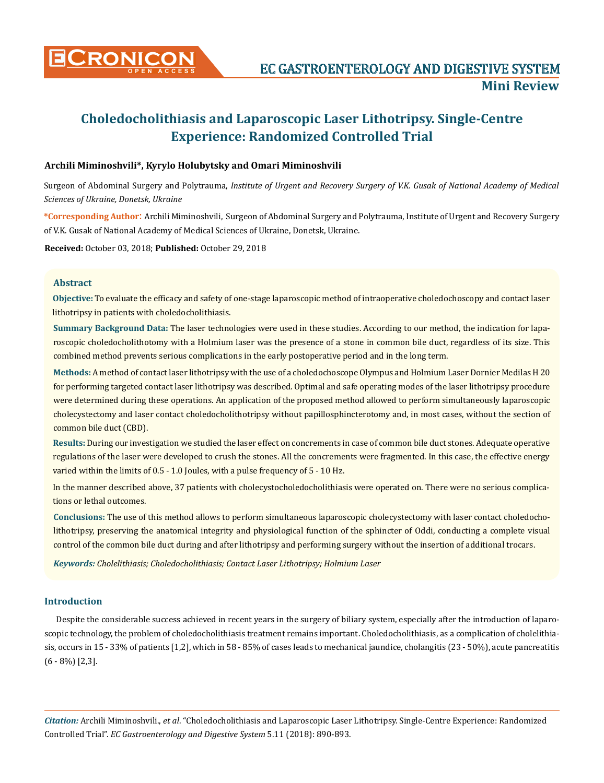

# **Choledocholithiasis and Laparoscopic Laser Lithotripsy. Single-Centre Experience: Randomized Controlled Trial**

## **Archili Miminoshvili\*, Kyrylo Holubytsky and Omari Miminoshvili**

Surgeon of Abdominal Surgery and Polytrauma, *Institute of Urgent and Recovery Surgery of V.K. Gusak of National Academy of Medical Sciences of Ukraine, Donetsk, Ukraine*

**\*Corresponding Author**: Archili Miminoshvili, Surgeon of Abdominal Surgery and Polytrauma, Institute of Urgent and Recovery Surgery of V.K. Gusak of National Academy of Medical Sciences of Ukraine, Donetsk, Ukraine.

**Received:** October 03, 2018; **Published:** October 29, 2018

## **Abstract**

**Objective:** To evaluate the efficacy and safety of one-stage laparoscopic method of intraoperative choledochoscopy and contact laser lithotripsy in patients with choledocholithiasis.

**Summary Background Data:** The laser technologies were used in these studies. According to our method, the indication for laparoscopic choledocholithotomy with a Holmium laser was the presence of a stone in common bile duct, regardless of its size. This combined method prevents serious complications in the early postoperative period and in the long term.

**Methods:** A method of contact laser lithotripsy with the use of a choledochoscope Olympus and Holmium Laser Dornier Medilas H 20 for performing targeted contact laser lithotripsy was described. Optimal and safe operating modes of the laser lithotripsy procedure were determined during these operations. An application of the proposed method allowed to perform simultaneously laparoscopic cholecystectomy and laser contact choledocholithotripsy without papillosphincterotomy and, in most cases, without the section of common bile duct (CBD).

**Results:** During our investigation we studied the laser effect on concrements in case of common bile duct stones. Adequate operative regulations of the laser were developed to crush the stones. All the concrements were fragmented. In this case, the effective energy varied within the limits of 0.5 - 1.0 Joules, with a pulse frequency of 5 - 10 Hz.

In the manner described above, 37 patients with cholecystocholedocholithiasis were operated on. There were no serious complications or lethal outcomes.

**Conclusions:** The use of this method allows to perform simultaneous laparoscopic cholecystectomy with laser contact choledocholithotripsy, preserving the anatomical integrity and physiological function of the sphincter of Oddi, conducting a complete visual control of the common bile duct during and after lithotripsy and performing surgery without the insertion of additional trocars.

*Keywords: Cholelithiasis; Choledocholithiasis; Contact Laser Lithotripsy; Holmium Laser*

## **Introduction**

Despite the considerable success achieved in recent years in the surgery of biliary system, especially after the introduction of laparoscopic technology, the problem of choledocholithiasis treatment remains important. Choledocholithiasis, as a complication of cholelithiasis, occurs in 15 - 33% of patients [1,2], which in 58 - 85% of cases leads to mechanical jaundice, cholangitis (23 - 50%), acute pancreatitis (6 - 8%) [2,3].

*Citation:* Archili Miminoshvili., *et al*. "Choledocholithiasis and Laparoscopic Laser Lithotripsy. Single-Centre Experience: Randomized Controlled Trial". *EC Gastroenterology and Digestive System* 5.11 (2018): 890-893.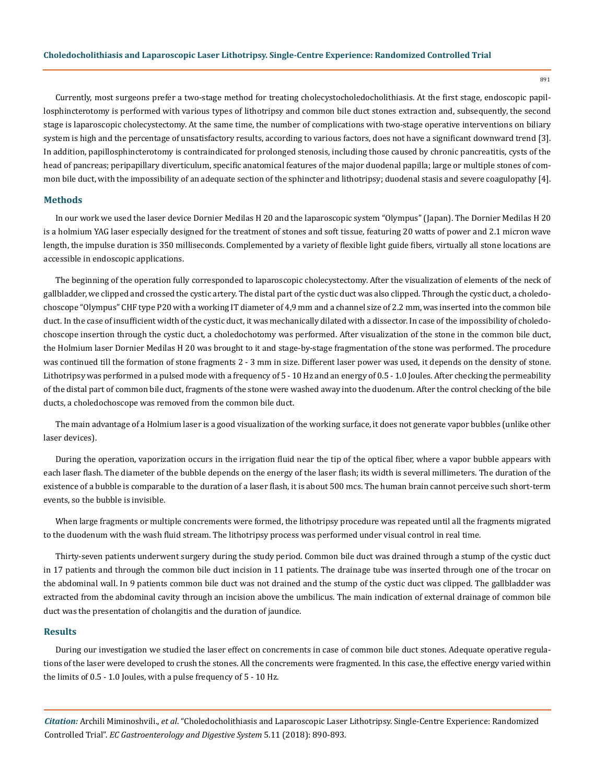Currently, most surgeons prefer a two-stage method for treating cholecystocholedocholithiasis. At the first stage, endoscopic papillosphincterotomy is performed with various types of lithotripsy and common bile duct stones extraction and, subsequently, the second stage is laparoscopic cholecystectomy. At the same time, the number of complications with two-stage operative interventions on biliary system is high and the percentage of unsatisfactory results, according to various factors, does not have a significant downward trend [3]. In addition, papillosphincterotomy is contraindicated for prolonged stenosis, including those caused by chronic pancreatitis, cysts of the head of pancreas; peripapillary diverticulum, specific anatomical features of the major duodenal papilla; large or multiple stones of common bile duct, with the impossibility of an adequate section of the sphincter and lithotripsy; duodenal stasis and severe coagulopathy [4].

## **Methods**

In our work we used the laser device Dornier Medilas H 20 and the laparoscopic system "Olympus" (Japan). The Dornier Medilas H 20 is a holmium YAG laser especially designed for the treatment of stones and soft tissue, featuring 20 watts of power and 2.1 micron wave length, the impulse duration is 350 milliseconds. Complemented by a variety of flexible light guide fibers, virtually all stone locations are accessible in endoscopic applications.

The beginning of the operation fully corresponded to laparoscopic cholecystectomy. After the visualization of elements of the neck of gallbladder, we clipped and crossed the cystic artery. The distal part of the cystic duct was also clipped. Through the cystic duct, a choledochoscope "Olympus" CHF type P20 with a working IT diameter of 4,9 mm and a channel size of 2.2 mm, was inserted into the common bile duct. In the case of insufficient width of the cystic duct, it was mechanically dilated with a dissector. In case of the impossibility of choledochoscope insertion through the cystic duct, a choledochotomy was performed. After visualization of the stone in the common bile duct, the Holmium laser Dornier Medilas H 20 was brought to it and stage-by-stage fragmentation of the stone was performed. The procedure was continued till the formation of stone fragments 2 - 3 mm in size. Different laser power was used, it depends on the density of stone. Lithotripsy was performed in a pulsed mode with a frequency of 5 - 10 Hz and an energy of 0.5 - 1.0 Joules. After checking the permeability of the distal part of common bile duct, fragments of the stone were washed away into the duodenum. After the control checking of the bile ducts, a choledochoscope was removed from the common bile duct.

The main advantage of a Holmium laser is a good visualization of the working surface, it does not generate vapor bubbles (unlike other laser devices).

During the operation, vaporization occurs in the irrigation fluid near the tip of the optical fiber, where a vapor bubble appears with each laser flash. The diameter of the bubble depends on the energy of the laser flash; its width is several millimeters. The duration of the existence of a bubble is comparable to the duration of a laser flash, it is about 500 mcs. The human brain cannot perceive such short-term events, so the bubble is invisible.

When large fragments or multiple concrements were formed, the lithotripsy procedure was repeated until all the fragments migrated to the duodenum with the wash fluid stream. The lithotripsy process was performed under visual control in real time.

Thirty-seven patients underwent surgery during the study period. Common bile duct was drained through a stump of the cystic duct in 17 patients and through the common bile duct incision in 11 patients. The drainage tube was inserted through one of the trocar on the abdominal wall. In 9 patients common bile duct was not drained and the stump of the cystic duct was clipped. The gallbladder was extracted from the abdominal cavity through an incision above the umbilicus. The main indication of external drainage of common bile duct was the presentation of cholangitis and the duration of jaundice.

## **Results**

During our investigation we studied the laser effect on concrements in case of common bile duct stones. Adequate operative regulations of the laser were developed to crush the stones. All the concrements were fragmented. In this case, the effective energy varied within the limits of 0.5 - 1.0 Joules, with a pulse frequency of 5 - 10 Hz.

*Citation:* Archili Miminoshvili., *et al*. "Choledocholithiasis and Laparoscopic Laser Lithotripsy. Single-Centre Experience: Randomized Controlled Trial". *EC Gastroenterology and Digestive System* 5.11 (2018): 890-893.

891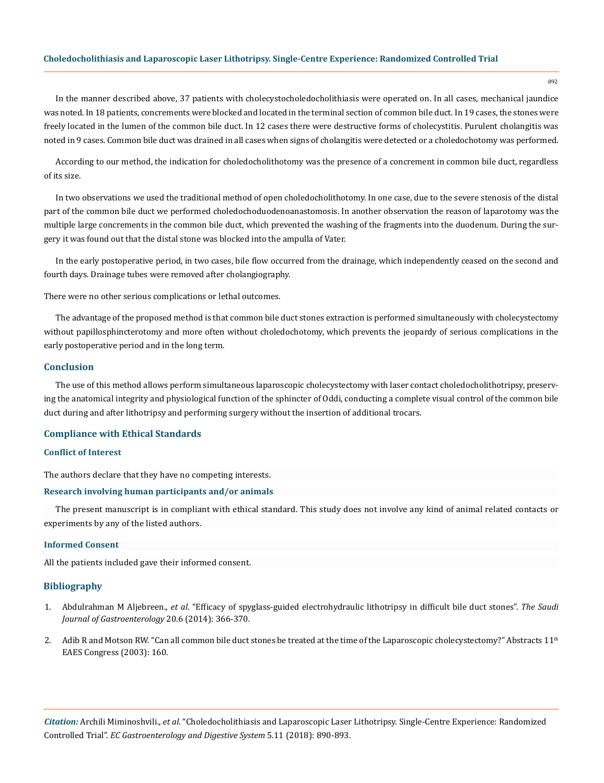#### **Choledocholithiasis and Laparoscopic Laser Lithotripsy. Single-Centre Experience: Randomized Controlled Trial**

892

In the manner described above, 37 patients with cholecystocholedocholithiasis were operated on. In all cases, mechanical jaundice was noted. In 18 patients, concrements were blocked and located in the terminal section of common bile duct. In 19 cases, the stones were freely located in the lumen of the common bile duct. In 12 cases there were destructive forms of cholecystitis. Purulent cholangitis was noted in 9 cases. Common bile duct was drained in all cases when signs of cholangitis were detected or a choledochotomy was performed.

According to our method, the indication for choledocholithotomy was the presence of a concrement in common bile duct, regardless of its size.

In two observations we used the traditional method of open choledocholithotomy. In one case, due to the severe stenosis of the distal part of the common bile duct we performed choledochoduodenoanastomosis. In another observation the reason of laparotomy was the multiple large concrements in the common bile duct, which prevented the washing of the fragments into the duodenum. During the surgery it was found out that the distal stone was blocked into the ampulla of Vater.

In the early postoperative period, in two cases, bile flow occurred from the drainage, which independently ceased on the second and fourth days. Drainage tubes were removed after cholangiography.

There were no other serious complications or lethal outcomes.

The advantage of the proposed method is that common bile duct stones extraction is performed simultaneously with cholecystectomy without papillosphincterotomy and more often without choledochotomy, which prevents the jeopardy of serious complications in the early postoperative period and in the long term.

#### **Conclusion**

The use of this method allows perform simultaneous laparoscopic cholecystectomy with laser contact choledocholithotripsy, preserving the anatomical integrity and physiological function of the sphincter of Oddi, conducting a complete visual control of the common bile duct during and after lithotripsy and performing surgery without the insertion of additional trocars.

#### **Compliance with Ethical Standards**

#### **Conflict of Interest**

The authors declare that they have no competing interests.

#### **Research involving human participants and/or animals**

The present manuscript is in compliant with ethical standard. This study does not involve any kind of animal related contacts or experiments by any of the listed authors.

#### **Informed Consent**

All the patients included gave their informed consent.

## **Bibliography**

- 1. Abdulrahman M Aljebreen., *et al*[. "Efficacy of spyglass-guided electrohydraulic lithotripsy in difficult bile duct stones".](https://www.ncbi.nlm.nih.gov/pmc/articles/PMC4271012/) *The Saudi [Journal of Gastroenterology](https://www.ncbi.nlm.nih.gov/pmc/articles/PMC4271012/)* 20.6 (2014): 366-370.
- 2. Adib R and Motson RW. "Can all common bile duct stones be treated at the time of the Laparoscopic cholecystectomy?" Abstracts  $11<sup>th</sup>$ EAES Congress (2003): 160.

*Citation:* Archili Miminoshvili., *et al*. "Choledocholithiasis and Laparoscopic Laser Lithotripsy. Single-Centre Experience: Randomized Controlled Trial". *EC Gastroenterology and Digestive System* 5.11 (2018): 890-893.